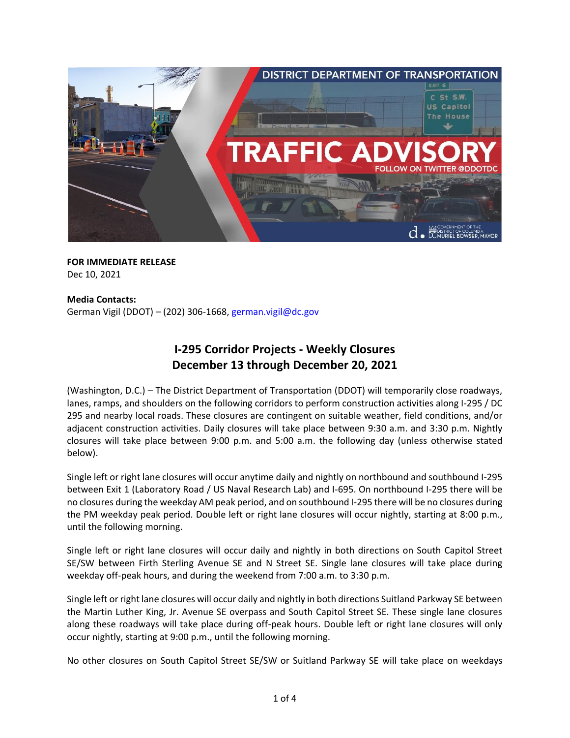

**FOR IMMEDIATE RELEASE** Dec 10, 2021

#### **Media Contacts:**

German Vigil (DDOT) – (202) 306-1668, [german.vigil@dc.gov](mailto:german.vigil@dc.gov)

# **I-295 Corridor Projects - Weekly Closures December 13 through December 20, 2021**

(Washington, D.C.) – The District Department of Transportation (DDOT) will temporarily close roadways, lanes, ramps, and shoulders on the following corridors to perform construction activities along I-295 / DC 295 and nearby local roads. These closures are contingent on suitable weather, field conditions, and/or adjacent construction activities. Daily closures will take place between 9:30 a.m. and 3:30 p.m. Nightly closures will take place between 9:00 p.m. and 5:00 a.m. the following day (unless otherwise stated below).

Single left or right lane closures will occur anytime daily and nightly on northbound and southbound I-295 between Exit 1 (Laboratory Road / US Naval Research Lab) and I-695. On northbound I-295 there will be no closures during the weekday AM peak period, and on southbound I-295 there will be no closures during the PM weekday peak period. Double left or right lane closures will occur nightly, starting at 8:00 p.m., until the following morning.

Single left or right lane closures will occur daily and nightly in both directions on South Capitol Street SE/SW between Firth Sterling Avenue SE and N Street SE. Single lane closures will take place during weekday off-peak hours, and during the weekend from 7:00 a.m. to 3:30 p.m.

Single left or right lane closures will occur daily and nightly in both directions Suitland Parkway SE between the Martin Luther King, Jr. Avenue SE overpass and South Capitol Street SE. These single lane closures along these roadways will take place during off-peak hours. Double left or right lane closures will only occur nightly, starting at 9:00 p.m., until the following morning.

No other closures on South Capitol Street SE/SW or Suitland Parkway SE will take place on weekdays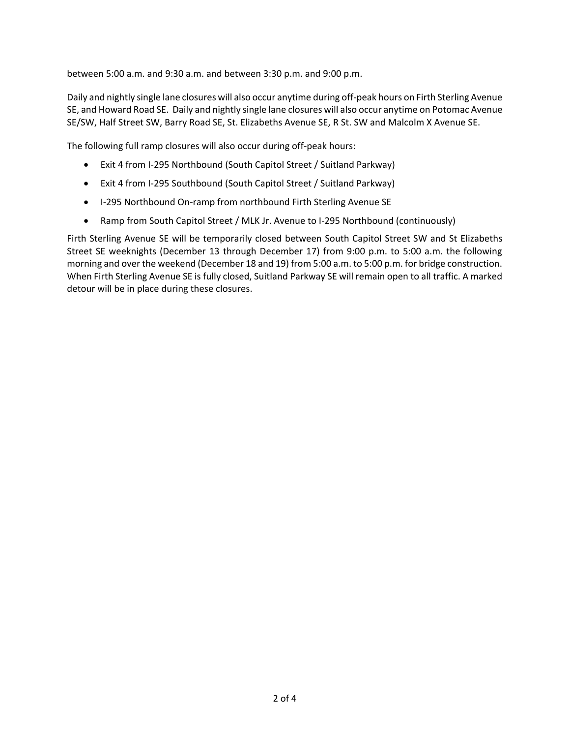between 5:00 a.m. and 9:30 a.m. and between 3:30 p.m. and 9:00 p.m.

Daily and nightly single lane closures will also occur anytime during off-peak hours on Firth Sterling Avenue SE, and Howard Road SE. Daily and nightly single lane closures will also occur anytime on Potomac Avenue SE/SW, Half Street SW, Barry Road SE, St. Elizabeths Avenue SE, R St. SW and Malcolm X Avenue SE.

The following full ramp closures will also occur during off-peak hours:

- Exit 4 from I-295 Northbound (South Capitol Street / Suitland Parkway)
- Exit 4 from I-295 Southbound (South Capitol Street / Suitland Parkway)
- I-295 Northbound On-ramp from northbound Firth Sterling Avenue SE
- Ramp from South Capitol Street / MLK Jr. Avenue to I-295 Northbound (continuously)

Firth Sterling Avenue SE will be temporarily closed between South Capitol Street SW and St Elizabeths Street SE weeknights (December 13 through December 17) from 9:00 p.m. to 5:00 a.m. the following morning and over the weekend (December 18 and 19) from 5:00 a.m. to 5:00 p.m. for bridge construction. When Firth Sterling Avenue SE is fully closed, Suitland Parkway SE will remain open to all traffic. A marked detour will be in place during these closures.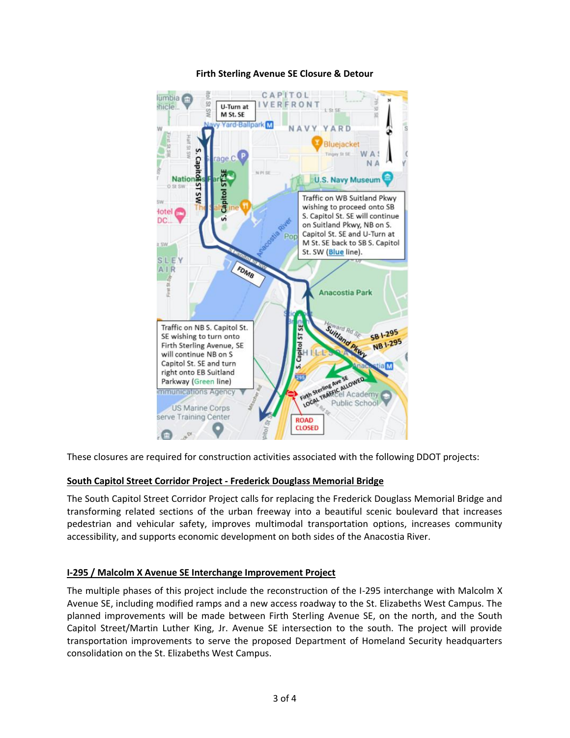

# **Firth Sterling Avenue SE Closure & Detour**

These closures are required for construction activities associated with the following DDOT projects:

# **South Capitol Street Corridor Project - Frederick Douglass Memorial Bridge**

The South Capitol Street Corridor Project calls for replacing the Frederick Douglass Memorial Bridge and transforming related sections of the urban freeway into a beautiful scenic boulevard that increases pedestrian and vehicular safety, improves multimodal transportation options, increases community accessibility, and supports economic development on both sides of the Anacostia River.

# **I-295 / Malcolm X Avenue SE Interchange Improvement Project**

The multiple phases of this project include the reconstruction of the I-295 interchange with Malcolm X Avenue SE, including modified ramps and a new access roadway to the St. Elizabeths West Campus. The planned improvements will be made between Firth Sterling Avenue SE, on the north, and the South Capitol Street/Martin Luther King, Jr. Avenue SE intersection to the south. The project will provide transportation improvements to serve the proposed Department of Homeland Security headquarters consolidation on the St. Elizabeths West Campus.